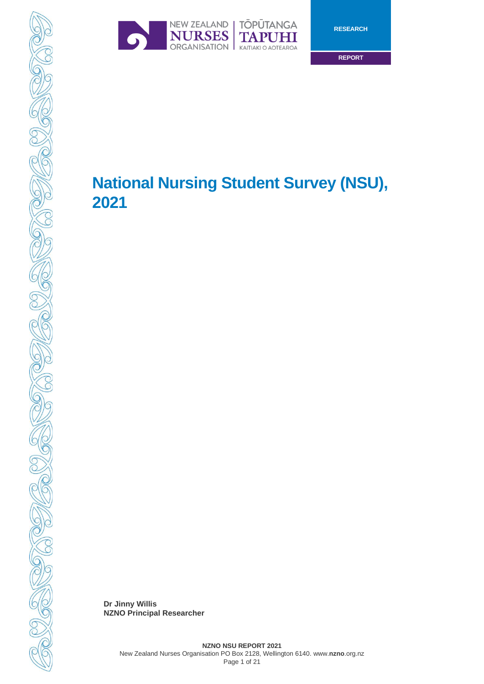



**RESEARCH**

**REPORT**

# **National Nursing Student Survey (NSU), 2021**

**Dr Jinny Willis NZNO Principal Researcher**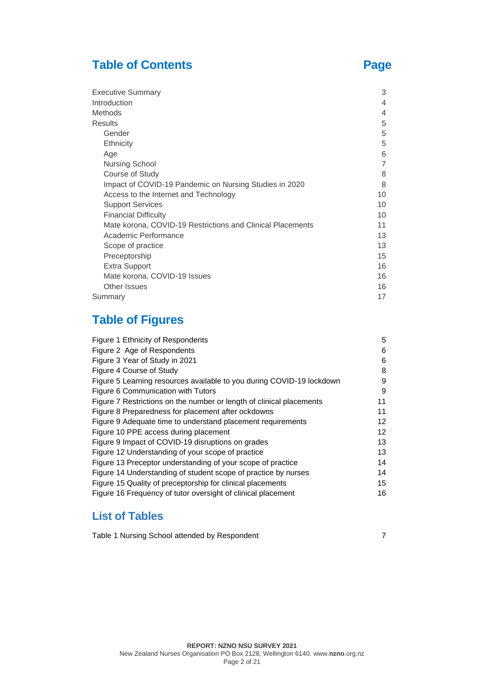# **Table of Contents Page**

| <b>Executive Summary</b>                                   | 3              |
|------------------------------------------------------------|----------------|
| Introduction                                               | 4              |
| Methods                                                    | 4              |
| <b>Results</b>                                             | 5              |
| Gender                                                     | 5              |
| Ethnicity                                                  | 5              |
| Age                                                        | 6              |
| <b>Nursing School</b>                                      | $\overline{7}$ |
| Course of Study                                            | 8              |
| Impact of COVID-19 Pandemic on Nursing Studies in 2020     | 8              |
| Access to the Internet and Technology                      | 10             |
| <b>Support Services</b>                                    | 10             |
| <b>Financial Difficulty</b>                                | 10             |
| Mate korona, COVID-19 Restrictions and Clinical Placements | 11             |
| Academic Performance                                       | 13             |
| Scope of practice                                          | 13             |
| Preceptorship                                              | 15             |
| <b>Extra Support</b>                                       | 16             |
| Mate korona, COVID-19 Issues                               | 16             |
| Other Issues                                               | 16             |
| Summary                                                    | 17             |

# **Table of Figures**

| Figure 2 Age of Respondents                                           | 6  |
|-----------------------------------------------------------------------|----|
| Figure 3 Year of Study in 2021                                        | 6  |
| Figure 4 Course of Study                                              | 8  |
| Figure 5 Learning resources available to you during COVID-19 lockdown | 9  |
| Figure 6 Communication with Tutors                                    | 9  |
| Figure 7 Restrictions on the number or length of clinical placements  | 11 |
| Figure 8 Preparedness for placement after ockdowns                    | 11 |
| Figure 9 Adequate time to understand placement requirements           | 12 |
| Figure 10 PPE access during placement                                 | 12 |
| Figure 9 Impact of COVID-19 disruptions on grades                     | 13 |
| Figure 12 Understanding of your scope of practice                     | 13 |
| Figure 13 Preceptor understanding of your scope of practice           | 14 |
| Figure 14 Understanding of student scope of practice by nurses        | 14 |
| Figure 15 Quality of preceptorship for clinical placements            | 15 |
| Figure 16 Frequency of tutor oversight of clinical placement          | 16 |

# **List of Tables**

Table 1 Nursing School attended by Respondent 7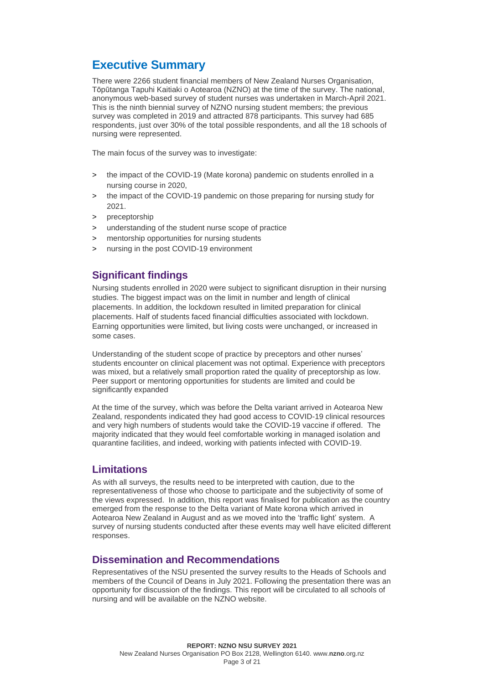# **Executive Summary**

There were 2266 student financial members of New Zealand Nurses Organisation, Tōpūtanga Tapuhi Kaitiaki o Aotearoa (NZNO) at the time of the survey. The national, anonymous web-based survey of student nurses was undertaken in March-April 2021. This is the ninth biennial survey of NZNO nursing student members; the previous survey was completed in 2019 and attracted 878 participants. This survey had 685 respondents, just over 30% of the total possible respondents, and all the 18 schools of nursing were represented.

The main focus of the survey was to investigate:

- > the impact of the COVID-19 (Mate korona) pandemic on students enrolled in a nursing course in 2020,
- > the impact of the COVID-19 pandemic on those preparing for nursing study for 2021.
- > preceptorship
- understanding of the student nurse scope of practice
- > mentorship opportunities for nursing students
- > nursing in the post COVID-19 environment

## **Significant findings**

Nursing students enrolled in 2020 were subject to significant disruption in their nursing studies. The biggest impact was on the limit in number and length of clinical placements. In addition, the lockdown resulted in limited preparation for clinical placements. Half of students faced financial difficulties associated with lockdown. Earning opportunities were limited, but living costs were unchanged, or increased in some cases.

Understanding of the student scope of practice by preceptors and other nurses' students encounter on clinical placement was not optimal. Experience with preceptors was mixed, but a relatively small proportion rated the quality of preceptorship as low. Peer support or mentoring opportunities for students are limited and could be significantly expanded

At the time of the survey, which was before the Delta variant arrived in Aotearoa New Zealand, respondents indicated they had good access to COVID-19 clinical resources and very high numbers of students would take the COVID-19 vaccine if offered. The majority indicated that they would feel comfortable working in managed isolation and quarantine facilities, and indeed, working with patients infected with COVID-19.

### **Limitations**

As with all surveys, the results need to be interpreted with caution, due to the representativeness of those who choose to participate and the subjectivity of some of the views expressed. In addition, this report was finalised for publication as the country emerged from the response to the Delta variant of Mate korona which arrived in Aotearoa New Zealand in August and as we moved into the 'traffic light' system. A survey of nursing students conducted after these events may well have elicited different responses.

### **Dissemination and Recommendations**

Representatives of the NSU presented the survey results to the Heads of Schools and members of the Council of Deans in July 2021. Following the presentation there was an opportunity for discussion of the findings. This report will be circulated to all schools of nursing and will be available on the NZNO website.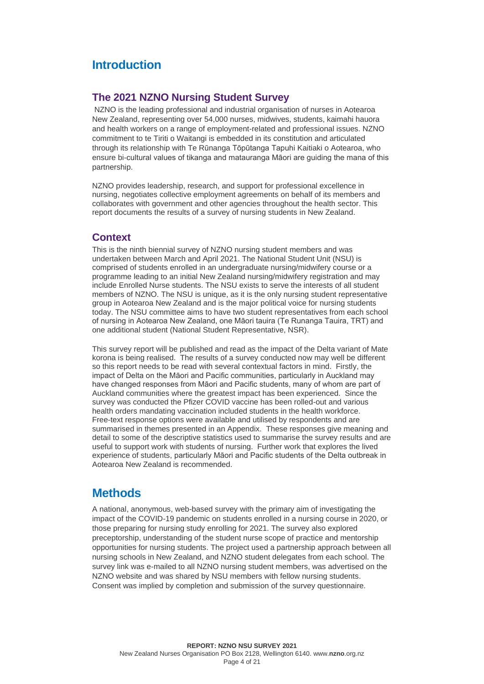# **Introduction**

### **The 2021 NZNO Nursing Student Survey**

NZNO is the leading professional and industrial organisation of nurses in Aotearoa New Zealand, representing over 54,000 nurses, midwives, students, kaimahi hauora and health workers on a range of employment-related and professional issues. NZNO commitment to te Tiriti o Waitangi is embedded in its constitution and articulated through its relationship with Te Rūnanga Tōpūtanga Tapuhi Kaitiaki o Aotearoa, who ensure bi-cultural values of tikanga and matauranga Māori are guiding the mana of this partnership.

NZNO provides leadership, research, and support for professional excellence in nursing, negotiates collective employment agreements on behalf of its members and collaborates with government and other agencies throughout the health sector. This report documents the results of a survey of nursing students in New Zealand.

#### **Context**

This is the ninth biennial survey of NZNO nursing student members and was undertaken between March and April 2021. The National Student Unit (NSU) is comprised of students enrolled in an undergraduate nursing/midwifery course or a programme leading to an initial New Zealand nursing/midwifery registration and may include Enrolled Nurse students. The NSU exists to serve the interests of all student members of NZNO. The NSU is unique, as it is the only nursing student representative group in Aotearoa New Zealand and is the major political voice for nursing students today. The NSU committee aims to have two student representatives from each school of nursing in Aotearoa New Zealand, one Māori tauira (Te Runanga Tauira, TRT) and one additional student (National Student Representative, NSR).

This survey report will be published and read as the impact of the Delta variant of Mate korona is being realised. The results of a survey conducted now may well be different so this report needs to be read with several contextual factors in mind. Firstly, the impact of Delta on the Māori and Pacific communities, particularly in Auckland may have changed responses from Māori and Pacific students, many of whom are part of Auckland communities where the greatest impact has been experienced. Since the survey was conducted the Pfizer COVID vaccine has been rolled-out and various health orders mandating vaccination included students in the health workforce. Free-text response options were available and utilised by respondents and are summarised in themes presented in an Appendix. These responses give meaning and detail to some of the descriptive statistics used to summarise the survey results and are useful to support work with students of nursing. Further work that explores the lived experience of students, particularly Māori and Pacific students of the Delta outbreak in Aotearoa New Zealand is recommended.

# **Methods**

A national, anonymous, web-based survey with the primary aim of investigating the impact of the COVID-19 pandemic on students enrolled in a nursing course in 2020, or those preparing for nursing study enrolling for 2021. The survey also explored preceptorship, understanding of the student nurse scope of practice and mentorship opportunities for nursing students. The project used a partnership approach between all nursing schools in New Zealand, and NZNO student delegates from each school. The survey link was e-mailed to all NZNO nursing student members, was advertised on the NZNO website and was shared by NSU members with fellow nursing students. Consent was implied by completion and submission of the survey questionnaire.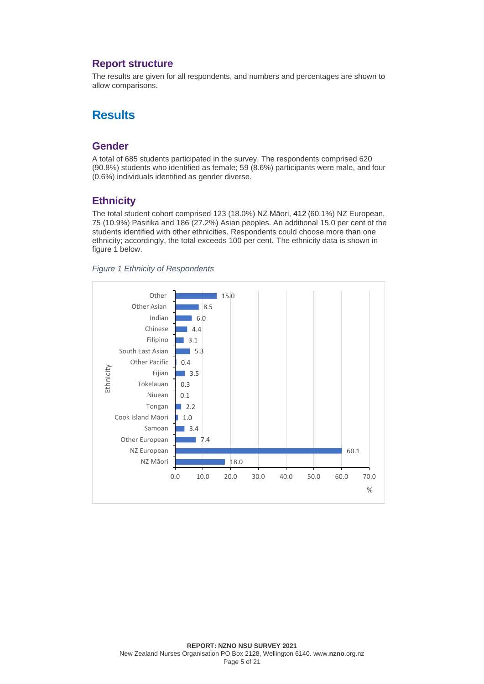### **Report structure**

The results are given for all respondents, and numbers and percentages are shown to allow comparisons.

# **Results**

#### **Gender**

A total of 685 students participated in the survey. The respondents comprised 620 (90.8%) students who identified as female; 59 (8.6%) participants were male, and four (0.6%) individuals identified as gender diverse.

#### **Ethnicity**

The total student cohort comprised 123 (18.0%) NZ Māori, 412 (60.1%) NZ European, 75 (10.9%) Pasifika and 186 (27.2%) Asian peoples. An additional 15.0 per cent of the students identified with other ethnicities. Respondents could choose more than one ethnicity; accordingly, the total exceeds 100 per cent. The ethnicity data is shown in figure 1 below.



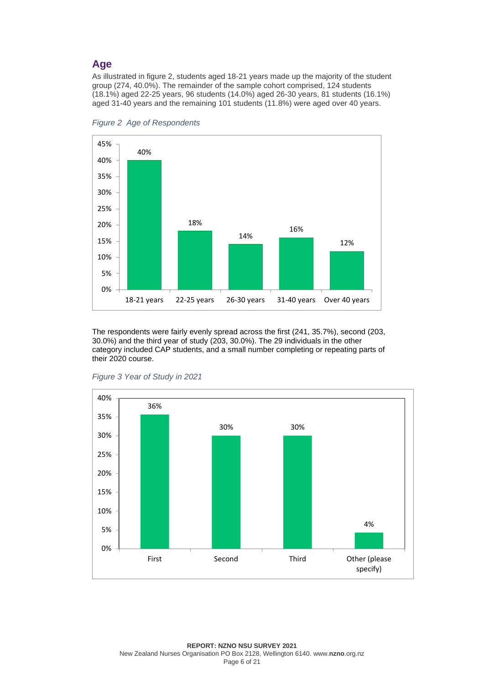#### **Age**

As illustrated in figure 2, students aged 18-21 years made up the majority of the student group (274, 40.0%). The remainder of the sample cohort comprised, 124 students (18.1%) aged 22-25 years, 96 students (14.0%) aged 26-30 years, 81 students (16.1%) aged 31-40 years and the remaining 101 students (11.8%) were aged over 40 years.



*Figure 2 Age of Respondents*

The respondents were fairly evenly spread across the first (241, 35.7%), second (203, 30.0%) and the third year of study (203, 30.0%). The 29 individuals in the other category included CAP students, and a small number completing or repeating parts of their 2020 course.



*Figure 3 Year of Study in 2021*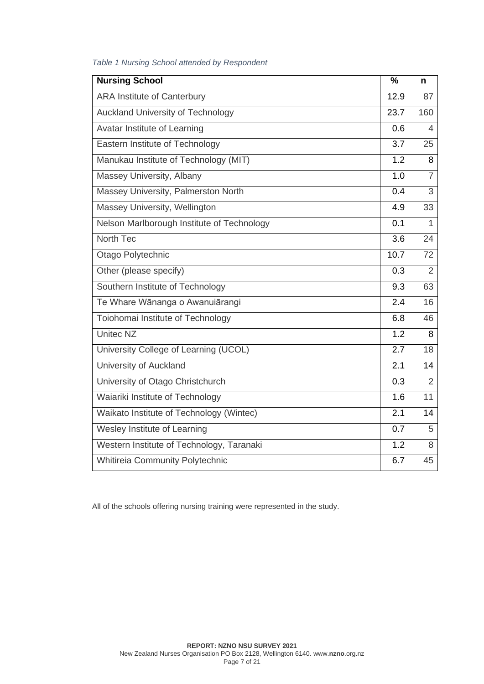| <b>Nursing School</b>                      | $\frac{0}{0}$ | n              |
|--------------------------------------------|---------------|----------------|
| <b>ARA Institute of Canterbury</b>         | 12.9          | 87             |
| Auckland University of Technology          | 23.7          | 160            |
| Avatar Institute of Learning               | 0.6           | 4              |
| Eastern Institute of Technology            | 3.7           | 25             |
| Manukau Institute of Technology (MIT)      | 1.2           | 8              |
| Massey University, Albany                  | 1.0           | $\overline{7}$ |
| Massey University, Palmerston North        | 0.4           | 3              |
| Massey University, Wellington              | 4.9           | 33             |
| Nelson Marlborough Institute of Technology | 0.1           | 1              |
| North Tec                                  | 3.6           | 24             |
| Otago Polytechnic                          | 10.7          | 72             |
| Other (please specify)                     | 0.3           | $\overline{2}$ |
| Southern Institute of Technology           | 9.3           | 63             |
| Te Whare Wānanga o Awanuiārangi            | 2.4           | 16             |
| Toiohomai Institute of Technology          | 6.8           | 46             |
| <b>United NZ</b>                           | 1.2           | 8              |
| University College of Learning (UCOL)      | 2.7           | 18             |
| University of Auckland                     | 2.1           | 14             |
| University of Otago Christchurch           | 0.3           | $\overline{2}$ |
| Waiariki Institute of Technology           | 1.6           | 11             |
| Waikato Institute of Technology (Wintec)   | 2.1           | 14             |
| Wesley Institute of Learning               | 0.7           | 5              |
| Western Institute of Technology, Taranaki  | 1.2           | 8              |
| Whitireia Community Polytechnic            | 6.7           | 45             |

#### *Table 1 Nursing School attended by Respondent*

All of the schools offering nursing training were represented in the study.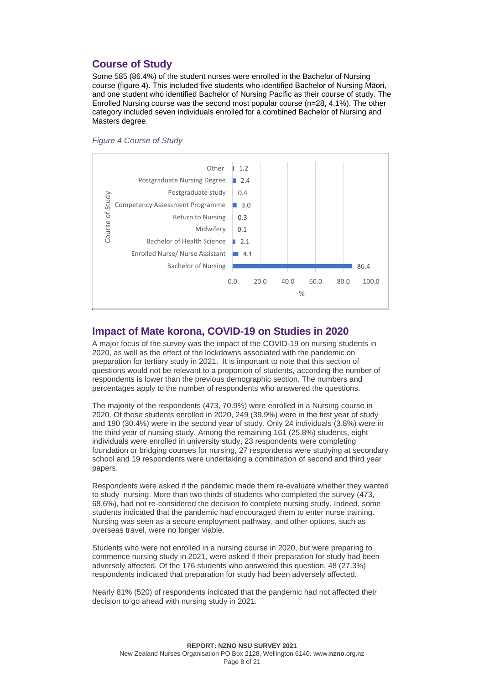# **Course of Study**

Some 585 (86.4%) of the student nurses were enrolled in the Bachelor of Nursing course (figure 4). This included five students who identified Bachelor of Nursing Māori, and one student who identified Bachelor of Nursing Pacific as their course of study. The Enrolled Nursing course was the second most popular course (n=28, 4.1%). The other category included seven individuals enrolled for a combined Bachelor of Nursing and Masters degree.





### **Impact of Mate korona, COVID-19 on Studies in 2020**

A major focus of the survey was the impact of the COVID-19 on nursing students in 2020, as well as the effect of the lockdowns associated with the pandemic on preparation for tertiary study in 2021. It is important to note that this section of questions would not be relevant to a proportion of students, according the number of respondents is lower than the previous demographic section. The numbers and percentages apply to the number of respondents who answered the questions.

The majority of the respondents (473, 70.9%) were enrolled in a Nursing course in 2020. Of those students enrolled in 2020, 249 (39.9%) were in the first year of study and 190 (30.4%) were in the second year of study. Only 24 individuals (3.8%) were in the third year of nursing study. Among the remaining 161 (25.8%) students, eight individuals were enrolled in university study, 23 respondents were completing foundation or bridging courses for nursing, 27 respondents were studying at secondary school and 19 respondents were undertaking a combination of second and third year papers.

Respondents were asked if the pandemic made them re-evaluate whether they wanted to study nursing. More than two thirds of students who completed the survey (473, 68.6%), had not re-considered the decision to complete nursing study. Indeed, some students indicated that the pandemic had encouraged them to enter nurse training. Nursing was seen as a secure employment pathway, and other options, such as overseas travel, were no longer viable.

Students who were not enrolled in a nursing course in 2020, but were preparing to commence nursing study in 2021, were asked if their preparation for study had been adversely affected. Of the 176 students who answered this question, 48 (27.3%) respondents indicated that preparation for study had been adversely affected.

Nearly 81% (520) of respondents indicated that the pandemic had not affected their decision to go ahead with nursing study in 2021.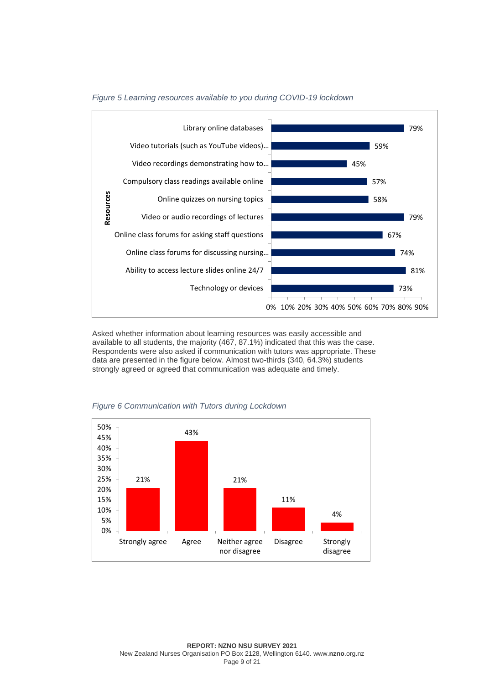

#### *Figure 5 Learning resources available to you during COVID-19 lockdown*

Asked whether information about learning resources was easily accessible and available to all students, the majority (467, 87.1%) indicated that this was the case. Respondents were also asked if communication with tutors was appropriate. These data are presented in the figure below. Almost two-thirds (340, 64.3%) students strongly agreed or agreed that communication was adequate and timely.



#### *Figure 6 Communication with Tutors during Lockdown*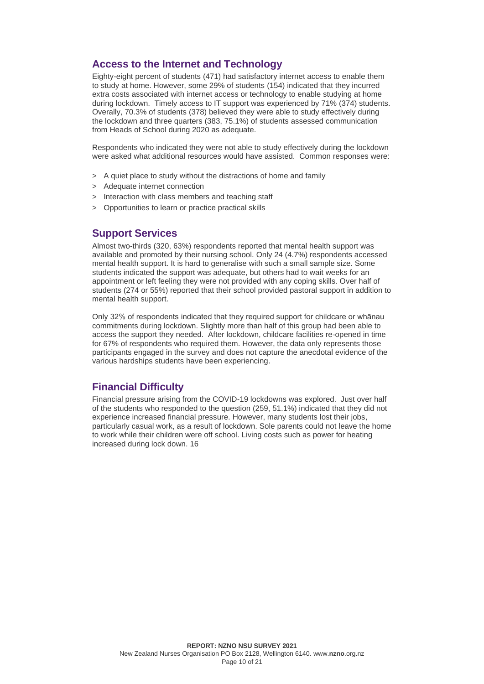### **Access to the Internet and Technology**

Eighty-eight percent of students (471) had satisfactory internet access to enable them to study at home. However, some 29% of students (154) indicated that they incurred extra costs associated with internet access or technology to enable studying at home during lockdown. Timely access to IT support was experienced by 71% (374) students. Overally, 70.3% of students (378) believed they were able to study effectively during the lockdown and three quarters (383, 75.1%) of students assessed communication from Heads of School during 2020 as adequate.

Respondents who indicated they were not able to study effectively during the lockdown were asked what additional resources would have assisted. Common responses were:

- > A quiet place to study without the distractions of home and family
- > Adequate internet connection
- > Interaction with class members and teaching staff
- > Opportunities to learn or practice practical skills

#### **Support Services**

Almost two-thirds (320, 63%) respondents reported that mental health support was available and promoted by their nursing school. Only 24 (4.7%) respondents accessed mental health support. It is hard to generalise with such a small sample size. Some students indicated the support was adequate, but others had to wait weeks for an appointment or left feeling they were not provided with any coping skills. Over half of students (274 or 55%) reported that their school provided pastoral support in addition to mental health support.

Only 32% of respondents indicated that they required support for childcare or whānau commitments during lockdown. Slightly more than half of this group had been able to access the support they needed. After lockdown, childcare facilities re-opened in time for 67% of respondents who required them. However, the data only represents those participants engaged in the survey and does not capture the anecdotal evidence of the various hardships students have been experiencing.

### **Financial Difficulty**

Financial pressure arising from the COVID-19 lockdowns was explored. Just over half of the students who responded to the question (259, 51.1%) indicated that they did not experience increased financial pressure. However, many students lost their jobs, particularly casual work, as a result of lockdown. Sole parents could not leave the home to work while their children were off school. Living costs such as power for heating increased during lock down. 16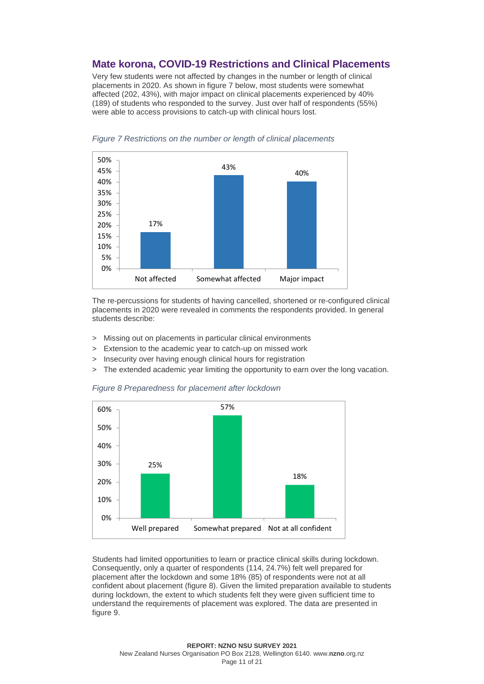# **Mate korona, COVID-19 Restrictions and Clinical Placements**

Very few students were not affected by changes in the number or length of clinical placements in 2020. As shown in figure 7 below, most students were somewhat affected (202, 43%), with major impact on clinical placements experienced by 40% (189) of students who responded to the survey. Just over half of respondents (55%) were able to access provisions to catch-up with clinical hours lost.



*Figure 7 Restrictions on the number or length of clinical placements*

The re-percussions for students of having cancelled, shortened or re-configured clinical placements in 2020 were revealed in comments the respondents provided. In general students describe:

- > Missing out on placements in particular clinical environments
- > Extension to the academic year to catch-up on missed work
- Insecurity over having enough clinical hours for registration
- > The extended academic year limiting the opportunity to earn over the long vacation.





Students had limited opportunities to learn or practice clinical skills during lockdown. Consequently, only a quarter of respondents (114, 24.7%) felt well prepared for placement after the lockdown and some 18% (85) of respondents were not at all confident about placement (figure 8). Given the limited preparation available to students during lockdown, the extent to which students felt they were given sufficient time to understand the requirements of placement was explored. The data are presented in figure 9.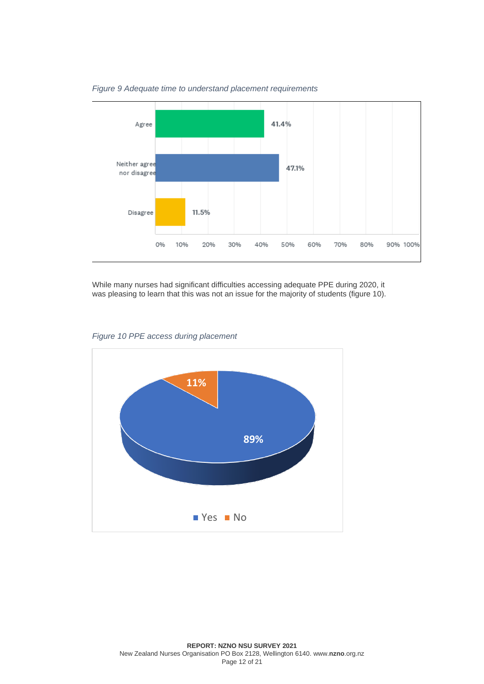

*Figure 9 Adequate time to understand placement requirements*

While many nurses had significant difficulties accessing adequate PPE during 2020, it was pleasing to learn that this was not an issue for the majority of students (figure 10).



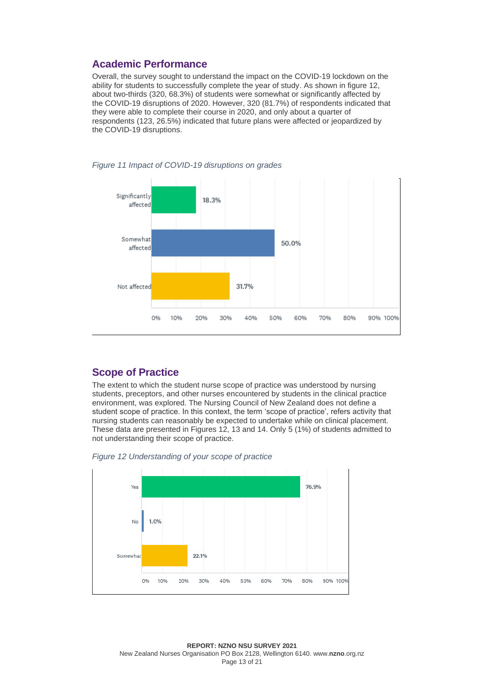### **Academic Performance**

Overall, the survey sought to understand the impact on the COVID-19 lockdown on the ability for students to successfully complete the year of study. As shown in figure 12, about two-thirds (320, 68.3%) of students were somewhat or significantly affected by the COVID-19 disruptions of 2020. However, 320 (81.7%) of respondents indicated that they were able to complete their course in 2020, and only about a quarter of respondents (123, 26.5%) indicated that future plans were affected or jeopardized by the COVID-19 disruptions.



*Figure 11 Impact of COVID-19 disruptions on grades*

#### **Scope of Practice**

The extent to which the student nurse scope of practice was understood by nursing students, preceptors, and other nurses encountered by students in the clinical practice environment, was explored. The Nursing Council of New Zealand does not define a student scope of practice. In this context, the term 'scope of practice', refers activity that nursing students can reasonably be expected to undertake while on clinical placement. These data are presented in Figures 12, 13 and 14. Only 5 (1%) of students admitted to not understanding their scope of practice.



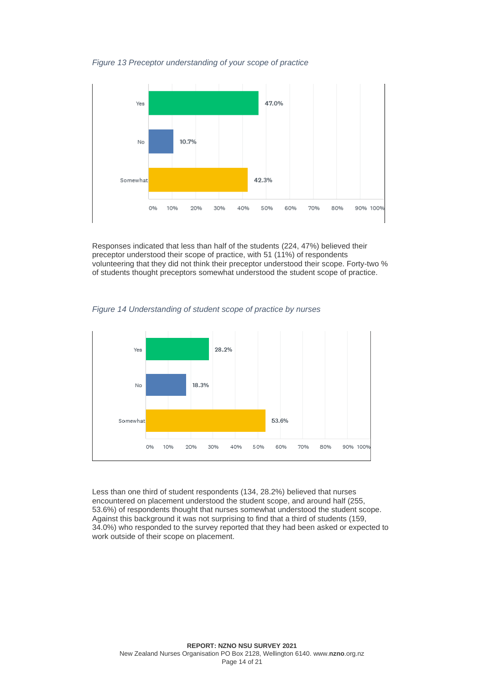*Figure 13 Preceptor understanding of your scope of practice*



Responses indicated that less than half of the students (224, 47%) believed their preceptor understood their scope of practice, with 51 (11%) of respondents volunteering that they did not think their preceptor understood their scope. Forty-two % of students thought preceptors somewhat understood the student scope of practice.

*Figure 14 Understanding of student scope of practice by nurses*



Less than one third of student respondents (134, 28.2%) believed that nurses encountered on placement understood the student scope, and around half (255, 53.6%) of respondents thought that nurses somewhat understood the student scope. Against this background it was not surprising to find that a third of students (159, 34.0%) who responded to the survey reported that they had been asked or expected to work outside of their scope on placement.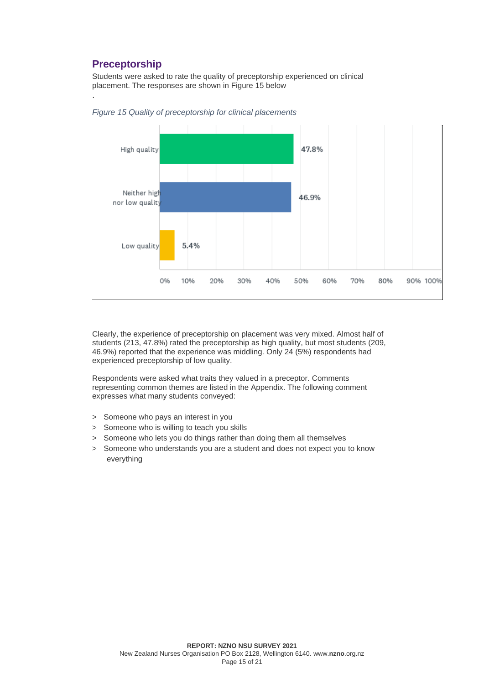# **Preceptorship**

.

Students were asked to rate the quality of preceptorship experienced on clinical placement. The responses are shown in Figure 15 below



*Figure 15 Quality of preceptorship for clinical placements*

Clearly, the experience of preceptorship on placement was very mixed. Almost half of students (213, 47.8%) rated the preceptorship as high quality, but most students (209, 46.9%) reported that the experience was middling. Only 24 (5%) respondents had experienced preceptorship of low quality.

Respondents were asked what traits they valued in a preceptor. Comments representing common themes are listed in the Appendix. The following comment expresses what many students conveyed:

- > Someone who pays an interest in you
- > Someone who is willing to teach you skills
- > Someone who lets you do things rather than doing them all themselves
- > Someone who understands you are a student and does not expect you to know everything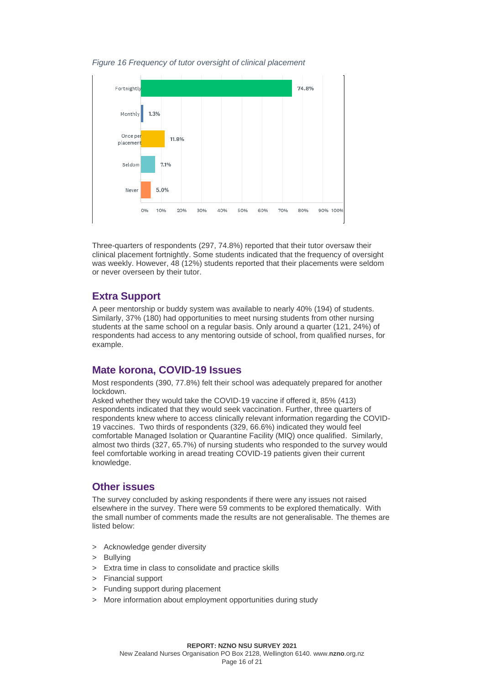*Figure 16 Frequency of tutor oversight of clinical placement*



Three-quarters of respondents (297, 74.8%) reported that their tutor oversaw their clinical placement fortnightly. Some students indicated that the frequency of oversight was weekly. However, 48 (12%) students reported that their placements were seldom or never overseen by their tutor.

### **Extra Support**

A peer mentorship or buddy system was available to nearly 40% (194) of students. Similarly, 37% (180) had opportunities to meet nursing students from other nursing students at the same school on a regular basis. Only around a quarter (121, 24%) of respondents had access to any mentoring outside of school, from qualified nurses, for example.

#### **Mate korona, COVID-19 Issues**

Most respondents (390, 77.8%) felt their school was adequately prepared for another lockdown.

Asked whether they would take the COVID-19 vaccine if offered it, 85% (413) respondents indicated that they would seek vaccination. Further, three quarters of respondents knew where to access clinically relevant information regarding the COVID-19 vaccines. Two thirds of respondents (329, 66.6%) indicated they would feel comfortable Managed Isolation or Quarantine Facility (MIQ) once qualified. Similarly, almost two thirds (327, 65.7%) of nursing students who responded to the survey would feel comfortable working in aread treating COVID-19 patients given their current knowledge.

#### **Other issues**

The survey concluded by asking respondents if there were any issues not raised elsewhere in the survey. There were 59 comments to be explored thematically. With the small number of comments made the results are not generalisable. The themes are listed below:

- > Acknowledge gender diversity
- > Bullying
- > Extra time in class to consolidate and practice skills
- > Financial support
- > Funding support during placement
- > More information about employment opportunities during study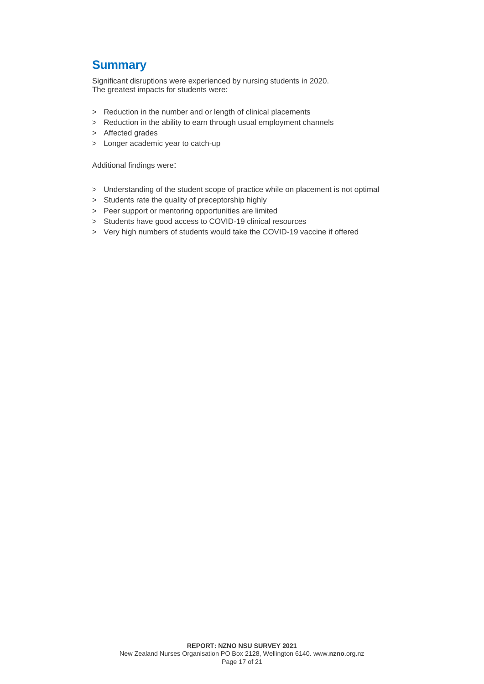# **Summary**

Significant disruptions were experienced by nursing students in 2020. The greatest impacts for students were:

- > Reduction in the number and or length of clinical placements
- > Reduction in the ability to earn through usual employment channels
- > Affected grades
- > Longer academic year to catch-up

Additional findings were:

- > Understanding of the student scope of practice while on placement is not optimal
- > Students rate the quality of preceptorship highly
- > Peer support or mentoring opportunities are limited
- > Students have good access to COVID-19 clinical resources
- > Very high numbers of students would take the COVID-19 vaccine if offered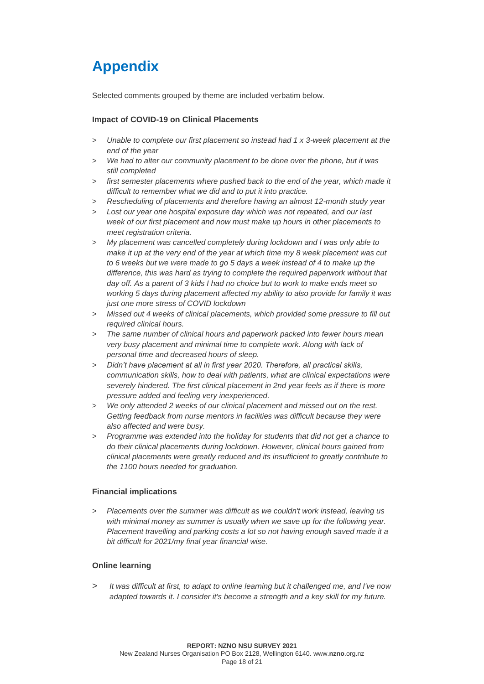# **Appendix**

Selected comments grouped by theme are included verbatim below.

#### **Impact of COVID-19 on Clinical Placements**

- > *Unable to complete our first placement so instead had 1 x 3-week placement at the end of the year*
- > *We had to alter our community placement to be done over the phone, but it was still completed*
- > *first semester placements where pushed back to the end of the year, which made it difficult to remember what we did and to put it into practice.*
- > *Rescheduling of placements and therefore having an almost 12-month study year*
- > *Lost our year one hospital exposure day which was not repeated, and our last week of our first placement and now must make up hours in other placements to meet registration criteria.*
- > *My placement was cancelled completely during lockdown and I was only able to make it up at the very end of the year at which time my 8 week placement was cut to 6 weeks but we were made to go 5 days a week instead of 4 to make up the difference, this was hard as trying to complete the required paperwork without that day off. As a parent of 3 kids I had no choice but to work to make ends meet so working 5 days during placement affected my ability to also provide for family it was just one more stress of COVID lockdown*
- > *Missed out 4 weeks of clinical placements, which provided some pressure to fill out required clinical hours.*
- > *The same number of clinical hours and paperwork packed into fewer hours mean very busy placement and minimal time to complete work. Along with lack of personal time and decreased hours of sleep.*
- > *Didn't have placement at all in first year 2020. Therefore, all practical skills, communication skills, how to deal with patients, what are clinical expectations were severely hindered. The first clinical placement in 2nd year feels as if there is more pressure added and feeling very inexperienced.*
- > *We only attended 2 weeks of our clinical placement and missed out on the rest. Getting feedback from nurse mentors in facilities was difficult because they were also affected and were busy.*
- > *Programme was extended into the holiday for students that did not get a chance to do their clinical placements during lockdown. However, clinical hours gained from clinical placements were greatly reduced and its insufficient to greatly contribute to the 1100 hours needed for graduation.*

#### **Financial implications**

> *Placements over the summer was difficult as we couldn't work instead, leaving us with minimal money as summer is usually when we save up for the following year. Placement travelling and parking costs a lot so not having enough saved made it a bit difficult for 2021/my final year financial wise.* 

#### **Online learning**

> *It was difficult at first, to adapt to online learning but it challenged me, and I've now adapted towards it. I consider it's become a strength and a key skill for my future.*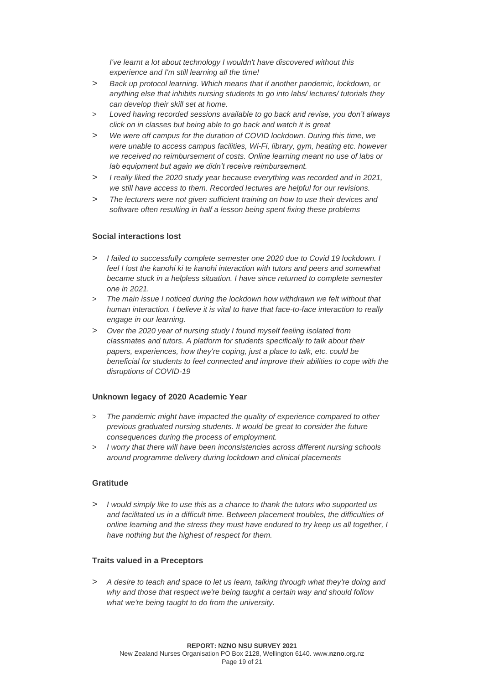*I've learnt a lot about technology I wouldn't have discovered without this experience and I'm still learning all the time!*

- > *Back up protocol learning. Which means that if another pandemic, lockdown, or anything else that inhibits nursing students to go into labs/ lectures/ tutorials they can develop their skill set at home.*
- > *Loved having recorded sessions available to go back and revise, you don't always click on in classes but being able to go back and watch it is great*
- > *We were off campus for the duration of COVID lockdown. During this time, we were unable to access campus facilities, Wi-Fi, library, gym, heating etc. however we received no reimbursement of costs. Online learning meant no use of labs or lab equipment but again we didn't receive reimbursement.*
- > *I really liked the 2020 study year because everything was recorded and in 2021, we still have access to them. Recorded lectures are helpful for our revisions.*
- > *The lecturers were not given sufficient training on how to use their devices and software often resulting in half a lesson being spent fixing these problems*

#### **Social interactions lost**

- > *I failed to successfully complete semester one 2020 due to Covid 19 lockdown. I feel I lost the kanohi ki te kanohi interaction with tutors and peers and somewhat became stuck in a helpless situation. I have since returned to complete semester one in 2021.*
- > *The main issue I noticed during the lockdown how withdrawn we felt without that human interaction. I believe it is vital to have that face-to-face interaction to really engage in our learning.*
- > *Over the 2020 year of nursing study I found myself feeling isolated from classmates and tutors. A platform for students specifically to talk about their papers, experiences, how they're coping, just a place to talk, etc. could be beneficial for students to feel connected and improve their abilities to cope with the disruptions of COVID-19*

#### **Unknown legacy of 2020 Academic Year**

- > *The pandemic might have impacted the quality of experience compared to other previous graduated nursing students. It would be great to consider the future consequences during the process of employment.*
- > *I worry that there will have been inconsistencies across different nursing schools around programme delivery during lockdown and clinical placements*

#### **Gratitude**

> *I would simply like to use this as a chance to thank the tutors who supported us and facilitated us in a difficult time. Between placement troubles, the difficulties of online learning and the stress they must have endured to try keep us all together, I have nothing but the highest of respect for them.* 

#### **Traits valued in a Preceptors**

> *A desire to teach and space to let us learn, talking through what they're doing and why and those that respect we're being taught a certain way and should follow what we're being taught to do from the university.*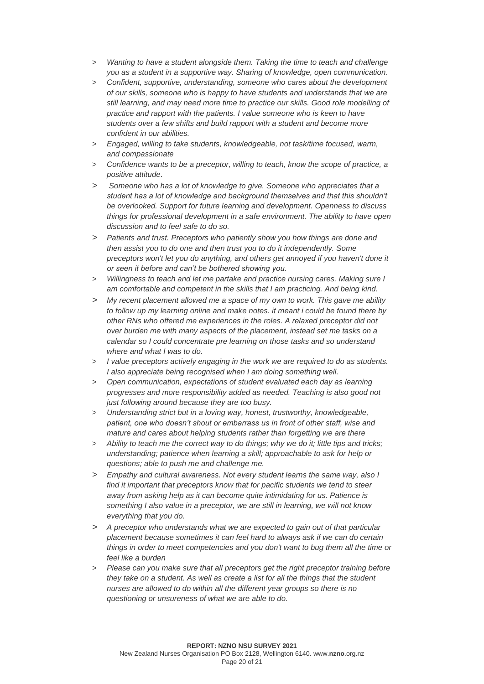- > *Wanting to have a student alongside them. Taking the time to teach and challenge you as a student in a supportive way. Sharing of knowledge, open communication.*
- > *Confident, supportive, understanding, someone who cares about the development of our skills, someone who is happy to have students and understands that we are still learning, and may need more time to practice our skills. Good role modelling of practice and rapport with the patients. I value someone who is keen to have students over a few shifts and build rapport with a student and become more confident in our abilities.*
- > *Engaged, willing to take students, knowledgeable, not task/time focused, warm, and compassionate*
- > *Confidence wants to be a preceptor, willing to teach, know the scope of practice, a positive attitude*.
- > *Someone who has a lot of knowledge to give. Someone who appreciates that a student has a lot of knowledge and background themselves and that this shouldn't be overlooked. Support for future learning and development. Openness to discuss things for professional development in a safe environment. The ability to have open discussion and to feel safe to do so.*
- > *Patients and trust. Preceptors who patiently show you how things are done and then assist you to do one and then trust you to do it independently. Some preceptors won't let you do anything, and others get annoyed if you haven't done it or seen it before and can't be bothered showing you.*
- > *Willingness to teach and let me partake and practice nursing cares. Making sure I am comfortable and competent in the skills that I am practicing. And being kind.*
- > *My recent placement allowed me a space of my own to work. This gave me ability to follow up my learning online and make notes. it meant i could be found there by other RNs who offered me experiences in the roles. A relaxed preceptor did not over burden me with many aspects of the placement, instead set me tasks on a calendar so I could concentrate pre learning on those tasks and so understand where and what I was to do.*
- > *I value preceptors actively engaging in the work we are required to do as students. I also appreciate being recognised when I am doing something well.*
- > *Open communication, expectations of student evaluated each day as learning progresses and more responsibility added as needed. Teaching is also good not just following around because they are too busy.*
- > *Understanding strict but in a loving way, honest, trustworthy, knowledgeable, patient, one who doesn't shout or embarrass us in front of other staff, wise and mature and cares about helping students rather than forgetting we are there*
- > *Ability to teach me the correct way to do things; why we do it; little tips and tricks; understanding; patience when learning a skill; approachable to ask for help or questions; able to push me and challenge me.*
- > *Empathy and cultural awareness. Not every student learns the same way, also I find it important that preceptors know that for pacific students we tend to steer away from asking help as it can become quite intimidating for us. Patience is something I also value in a preceptor, we are still in learning, we will not know everything that you do.*
- > *A preceptor who understands what we are expected to gain out of that particular placement because sometimes it can feel hard to always ask if we can do certain things in order to meet competencies and you don't want to bug them all the time or feel like a burden*
- > *Please can you make sure that all preceptors get the right preceptor training before they take on a student. As well as create a list for all the things that the student nurses are allowed to do within all the different year groups so there is no questioning or unsureness of what we are able to do.*